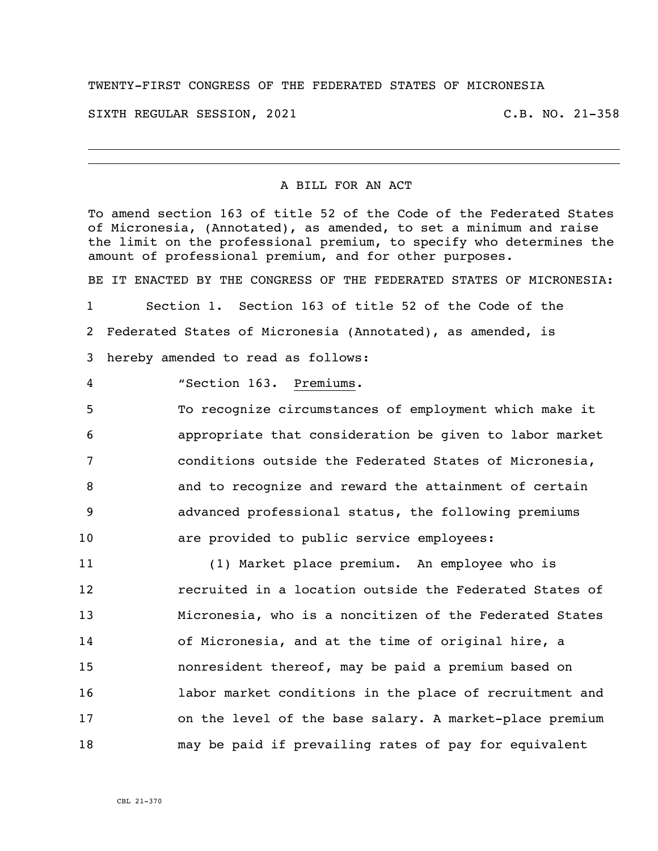## TWENTY-FIRST CONGRESS OF THE FEDERATED STATES OF MICRONESIA

SIXTH REGULAR SESSION, 2021 C.B. NO. 21-358

## A BILL FOR AN ACT

To amend section 163 of title 52 of the Code of the Federated States of Micronesia, (Annotated), as amended, to set a minimum and raise the limit on the professional premium, to specify who determines the amount of professional premium, and for other purposes.

BE IT ENACTED BY THE CONGRESS OF THE FEDERATED STATES OF MICRONESIA: Section 1. Section 163 of title 52 of the Code of the Federated States of Micronesia (Annotated), as amended, is hereby amended to read as follows:

"Section 163. Premiums.

 To recognize circumstances of employment which make it appropriate that consideration be given to labor market conditions outside the Federated States of Micronesia, and to recognize and reward the attainment of certain advanced professional status, the following premiums are provided to public service employees:

 (1) Market place premium. An employee who is recruited in a location outside the Federated States of Micronesia, who is a noncitizen of the Federated States of Micronesia, and at the time of original hire, a nonresident thereof, may be paid a premium based on labor market conditions in the place of recruitment and on the level of the base salary. A market-place premium may be paid if prevailing rates of pay for equivalent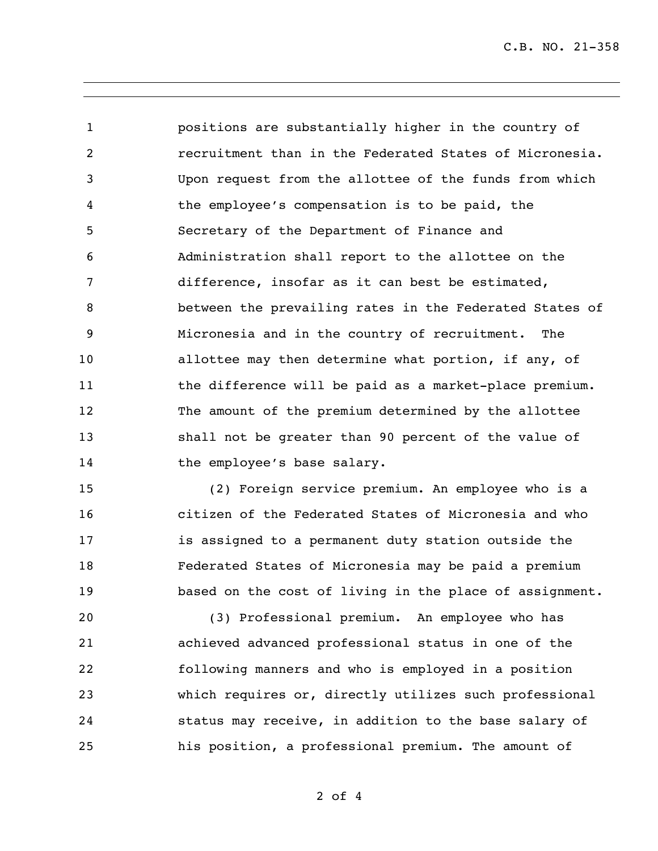C.B. NO. 21-358

 positions are substantially higher in the country of recruitment than in the Federated States of Micronesia. Upon request from the allottee of the funds from which the employee's compensation is to be paid, the Secretary of the Department of Finance and Administration shall report to the allottee on the difference, insofar as it can best be estimated, between the prevailing rates in the Federated States of Micronesia and in the country of recruitment. The **allottee may then determine what portion, if any, of** 11 the difference will be paid as a market-place premium. The amount of the premium determined by the allottee shall not be greater than 90 percent of the value of 14 the employee's base salary.

 (2) Foreign service premium. An employee who is a citizen of the Federated States of Micronesia and who is assigned to a permanent duty station outside the Federated States of Micronesia may be paid a premium based on the cost of living in the place of assignment.

 (3) Professional premium. An employee who has achieved advanced professional status in one of the following manners and who is employed in a position which requires or, directly utilizes such professional status may receive, in addition to the base salary of his position, a professional premium. The amount of

of 4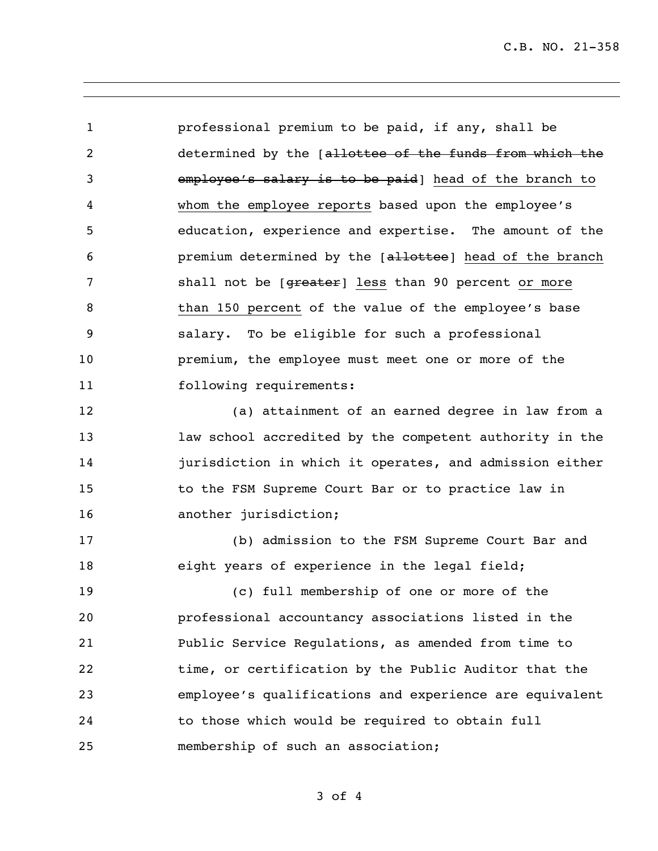professional premium to be paid, if any, shall be determined by the [allottee of the funds from which the employee's salary is to be paid] head of the branch to whom the employee reports based upon the employee's education, experience and expertise. The amount of the **premium determined by the [allottee]** head of the branch 7 shall not be [greater] less than 90 percent or more than 150 percent of the value of the employee's base salary. To be eligible for such a professional premium, the employee must meet one or more of the following requirements: (a) attainment of an earned degree in law from a law school accredited by the competent authority in the jurisdiction in which it operates, and admission either to the FSM Supreme Court Bar or to practice law in 16 another jurisdiction; (b) admission to the FSM Supreme Court Bar and 18 eight years of experience in the legal field; (c) full membership of one or more of the professional accountancy associations listed in the Public Service Regulations, as amended from time to time, or certification by the Public Auditor that the employee's qualifications and experience are equivalent to those which would be required to obtain full membership of such an association;

of 4